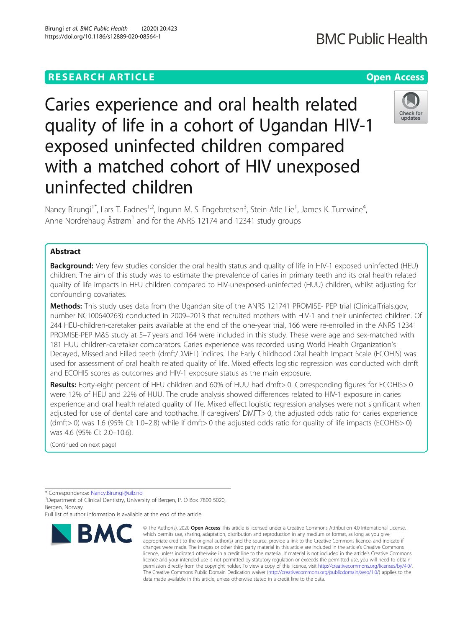## **RESEARCH ARTICLE Example 2014 12:30 The Contract of Contract ACCESS**

# Caries experience and oral health related quality of life in a cohort of Ugandan HIV-1 exposed uninfected children compared with a matched cohort of HIV unexposed uninfected children

Nancy Birungi<sup>1\*</sup>, Lars T. Fadnes<sup>1,2</sup>, Ingunn M. S. Engebretsen<sup>3</sup>, Stein Atle Lie<sup>1</sup>, James K. Tumwine<sup>4</sup> , Anne Nordrehaug Åstrøm<sup>1</sup> and for the ANRS 12174 and 12341 study groups

### Abstract

Background: Very few studies consider the oral health status and quality of life in HIV-1 exposed uninfected (HEU) children. The aim of this study was to estimate the prevalence of caries in primary teeth and its oral health related quality of life impacts in HEU children compared to HIV-unexposed-uninfected (HUU) children, whilst adjusting for confounding covariates.

Methods: This study uses data from the Ugandan site of the ANRS 121741 PROMISE- PEP trial (ClinicalTrials.gov, number NCT00640263) conducted in 2009–2013 that recruited mothers with HIV-1 and their uninfected children. Of 244 HEU-children-caretaker pairs available at the end of the one-year trial, 166 were re-enrolled in the ANRS 12341 PROMISE-PEP M&S study at 5–7 years and 164 were included in this study. These were age and sex-matched with 181 HUU children-caretaker comparators. Caries experience was recorded using World Health Organization's Decayed, Missed and Filled teeth (dmft/DMFT) indices. The Early Childhood Oral health Impact Scale (ECOHIS) was used for assessment of oral health related quality of life. Mixed effects logistic regression was conducted with dmft and ECOHIS scores as outcomes and HIV-1 exposure status as the main exposure.

Results: Forty-eight percent of HEU children and 60% of HUU had dmft> 0. Corresponding figures for ECOHIS> 0 were 12% of HEU and 22% of HUU. The crude analysis showed differences related to HIV-1 exposure in caries experience and oral health related quality of life. Mixed effect logistic regression analyses were not significant when adjusted for use of dental care and toothache. If caregivers' DMFT> 0, the adjusted odds ratio for caries experience (dmft> 0) was 1.6 (95% CI: 1.0–2.8) while if dmft> 0 the adjusted odds ratio for quality of life impacts (ECOHIS> 0) was 4.6 (95% CI: 2.0–10.6).

(Continued on next page)

\* Correspondence: [Nancy.Birungi@uib.no](mailto:Nancy.Birungi@uib.no) <sup>1</sup>

<sup>1</sup> Department of Clinical Dentistry, University of Bergen, P. O Box 7800 5020, Bergen, Norway

Full list of author information is available at the end of the article

#### © The Author(s), 2020 **Open Access** This article is licensed under a Creative Commons Attribution 4.0 International License, BMC which permits use, sharing, adaptation, distribution and reproduction in any medium or format, as long as you give appropriate credit to the original author(s) and the source, provide a link to the Creative Commons licence, and indicate if changes were made. The images or other third party material in this article are included in the article's Creative Commons licence, unless indicated otherwise in a credit line to the material. If material is not included in the article's Creative Commons licence and your intended use is not permitted by statutory regulation or exceeds the permitted use, you will need to obtain permission directly from the copyright holder. To view a copy of this licence, visit [http://creativecommons.org/licenses/by/4.0/.](http://creativecommons.org/licenses/by/4.0/) The Creative Commons Public Domain Dedication waiver [\(http://creativecommons.org/publicdomain/zero/1.0/](http://creativecommons.org/publicdomain/zero/1.0/)) applies to the data made available in this article, unless otherwise stated in a credit line to the data.

https://doi.org/10.1186/s12889-020-08564-1



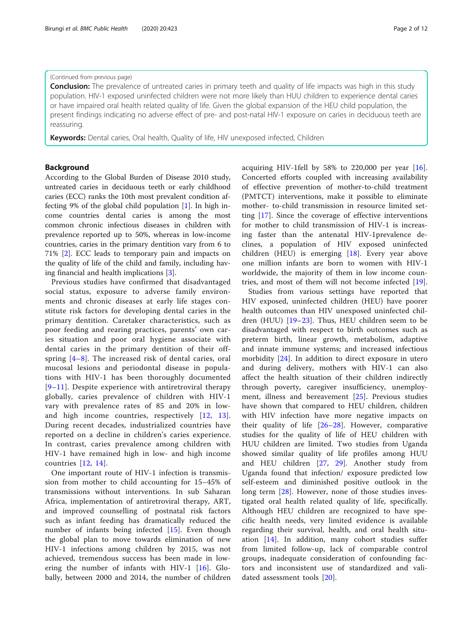#### (Continued from previous page)

**Conclusion:** The prevalence of untreated caries in primary teeth and quality of life impacts was high in this study population. HIV-1 exposed uninfected children were not more likely than HUU children to experience dental caries or have impaired oral health related quality of life. Given the global expansion of the HEU child population, the present findings indicating no adverse effect of pre- and post-natal HIV-1 exposure on caries in deciduous teeth are reassuring.

Keywords: Dental caries, Oral health, Quality of life, HIV unexposed infected, Children

#### Background

According to the Global Burden of Disease 2010 study, untreated caries in deciduous teeth or early childhood caries (ECC) ranks the 10th most prevalent condition affecting 9% of the global child population [\[1\]](#page-10-0). In high income countries dental caries is among the most common chronic infectious diseases in children with prevalence reported up to 50%, whereas in low-income countries, caries in the primary dentition vary from 6 to 71% [[2\]](#page-10-0). ECC leads to temporary pain and impacts on the quality of life of the child and family, including having financial and health implications [[3\]](#page-10-0).

Previous studies have confirmed that disadvantaged social status, exposure to adverse family environments and chronic diseases at early life stages constitute risk factors for developing dental caries in the primary dentition. Caretaker characteristics, such as poor feeding and rearing practices, parents' own caries situation and poor oral hygiene associate with dental caries in the primary dentition of their offspring [[4](#page-10-0)–[8\]](#page-10-0). The increased risk of dental caries, oral mucosal lesions and periodontal disease in populations with HIV-1 has been thoroughly documented [[9](#page-11-0)–[11](#page-11-0)]. Despite experience with antiretroviral therapy globally, caries prevalence of children with HIV-1 vary with prevalence rates of 85 and 20% in lowand high income countries, respectively [[12,](#page-11-0) [13](#page-11-0)]. During recent decades, industrialized countries have reported on a decline in children's caries experience. In contrast, caries prevalence among children with HIV-1 have remained high in low- and high income countries  $[12, 14]$  $[12, 14]$  $[12, 14]$  $[12, 14]$  $[12, 14]$ .

One important route of HIV-1 infection is transmission from mother to child accounting for 15–45% of transmissions without interventions. In sub Saharan Africa, implementation of antiretroviral therapy, ART, and improved counselling of postnatal risk factors such as infant feeding has dramatically reduced the number of infants being infected [[15\]](#page-11-0). Even though the global plan to move towards elimination of new HIV-1 infections among children by 2015, was not achieved, tremendous success has been made in low-ering the number of infants with HIV-1 [\[16](#page-11-0)]. Globally, between 2000 and 2014, the number of children acquiring HIV-1fell by 58% to 220,000 per year [\[16](#page-11-0)]. Concerted efforts coupled with increasing availability of effective prevention of mother-to-child treatment (PMTCT) interventions, make it possible to eliminate mother- to-child transmission in resource limited setting [\[17](#page-11-0)]. Since the coverage of effective interventions for mother to child transmission of HIV-1 is increasing faster than the antenatal HIV-1prevalence declines, a population of HIV exposed uninfected children (HEU) is emerging  $[18]$  $[18]$ . Every year above one million infants are born to women with HIV-1 worldwide, the majority of them in low income countries, and most of them will not become infected [\[19](#page-11-0)].

Studies from various settings have reported that HIV exposed, uninfected children (HEU) have poorer health outcomes than HIV unexposed uninfected children (HUU) [\[19](#page-11-0)–[23](#page-11-0)]. Thus, HEU children seem to be disadvantaged with respect to birth outcomes such as preterm birth, linear growth, metabolism, adaptive and innate immune systems; and increased infectious morbidity [[24\]](#page-11-0). In addition to direct exposure in utero and during delivery, mothers with HIV-1 can also affect the health situation of their children indirectly through poverty, caregiver insufficiency, unemployment, illness and bereavement [[25\]](#page-11-0). Previous studies have shown that compared to HEU children, children with HIV infection have more negative impacts on their quality of life  $[26-28]$  $[26-28]$  $[26-28]$  $[26-28]$ . However, comparative studies for the quality of life of HEU children with HUU children are limited. Two studies from Uganda showed similar quality of life profiles among HUU and HEU children [[27,](#page-11-0) [29](#page-11-0)]. Another study from Uganda found that infection/ exposure predicted low self-esteem and diminished positive outlook in the long term [\[28](#page-11-0)]. However, none of those studies investigated oral health related quality of life, specifically. Although HEU children are recognized to have specific health needs, very limited evidence is available regarding their survival, health, and oral health situation [[14\]](#page-11-0). In addition, many cohort studies suffer from limited follow-up, lack of comparable control groups, inadequate consideration of confounding factors and inconsistent use of standardized and validated assessment tools [[20\]](#page-11-0).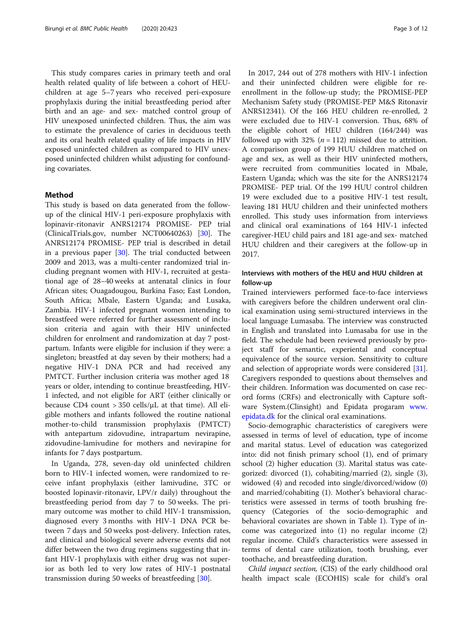This study compares caries in primary teeth and oral health related quality of life between a cohort of HEUchildren at age 5–7 years who received peri-exposure prophylaxis during the initial breastfeeding period after birth and an age- and sex- matched control group of HIV unexposed uninfected children. Thus, the aim was to estimate the prevalence of caries in deciduous teeth and its oral health related quality of life impacts in HIV exposed uninfected children as compared to HIV unexposed uninfected children whilst adjusting for confounding covariates.

#### Method

This study is based on data generated from the followup of the clinical HIV-1 peri-exposure prophylaxis with lopinavir-ritonavir ANRS12174 PROMISE- PEP trial (ClinicalTrials.gov, number NCT00640263) [\[30](#page-11-0)]. The ANRS12174 PROMISE- PEP trial is described in detail in a previous paper [\[30\]](#page-11-0). The trial conducted between 2009 and 2013, was a multi-center randomized trial including pregnant women with HIV-1, recruited at gestational age of 28–40 weeks at antenatal clinics in four African sites; Ouagadougou, Burkina Faso; East London, South Africa; Mbale, Eastern Uganda; and Lusaka, Zambia. HIV-1 infected pregnant women intending to breastfeed were referred for further assessment of inclusion criteria and again with their HIV uninfected children for enrolment and randomization at day 7 postpartum. Infants were eligible for inclusion if they were: a singleton; breastfed at day seven by their mothers; had a negative HIV-1 DNA PCR and had received any PMTCT. Further inclusion criteria was mother aged 18 years or older, intending to continue breastfeeding, HIV-1 infected, and not eligible for ART (either clinically or because CD4 count  $>$  350 cells/ $\mu$ L at that time). All eligible mothers and infants followed the routine national mother-to-child transmission prophylaxis (PMTCT) with antepartum zidovudine, intrapartum nevirapine, zidovudine-lamivudine for mothers and nevirapine for infants for 7 days postpartum.

In Uganda, 278, seven-day old uninfected children born to HIV-1 infected women, were randomized to receive infant prophylaxis (either lamivudine, 3TC or boosted lopinavir-ritonavir, LPV/r daily) throughout the breastfeeding period from day 7 to 50 weeks. The primary outcome was mother to child HIV-1 transmission, diagnosed every 3 months with HIV-1 DNA PCR between 7 days and 50 weeks post-delivery. Infection rates, and clinical and biological severe adverse events did not differ between the two drug regimens suggesting that infant HIV-1 prophylaxis with either drug was not superior as both led to very low rates of HIV-1 postnatal transmission during 50 weeks of breastfeeding [\[30](#page-11-0)].

In 2017, 244 out of 278 mothers with HIV-1 infection and their uninfected children were eligible for reenrollment in the follow-up study; the PROMISE-PEP Mechanism Safety study (PROMISE-PEP M&S Ritonavir ANRS12341). Of the 166 HEU children re-enrolled, 2 were excluded due to HIV-1 conversion. Thus, 68% of the eligible cohort of HEU children (164/244) was followed up with 32% ( $n = 112$ ) missed due to attrition. A comparison group of 199 HUU children matched on age and sex, as well as their HIV uninfected mothers, were recruited from communities located in Mbale, Eastern Uganda; which was the site for the ANRS12174 PROMISE- PEP trial. Of the 199 HUU control children 19 were excluded due to a positive HIV-1 test result, leaving 181 HUU children and their uninfected mothers enrolled. This study uses information from interviews and clinical oral examinations of 164 HIV-1 infected caregiver-HEU child pairs and 181 age-and sex- matched HUU children and their caregivers at the follow-up in 2017.

#### Interviews with mothers of the HEU and HUU children at follow-up

Trained interviewers performed face-to-face interviews with caregivers before the children underwent oral clinical examination using semi-structured interviews in the local language Lumasaba. The interview was constructed in English and translated into Lumasaba for use in the field. The schedule had been reviewed previously by project staff for semantic, experiental and conceptual equivalence of the source version. Sensitivity to culture and selection of appropriate words were considered [\[31](#page-11-0)]. Caregivers responded to questions about themselves and their children. Information was documented on case record forms (CRFs) and electronically with Capture software System.(Clinsight) and Epidata progaram [www.](http://www.epidata.dk) [epidata.dk](http://www.epidata.dk) for the clinical oral examinations.

Socio-demographic characteristics of caregivers were assessed in terms of level of education, type of income and marital status. Level of education was categorized into: did not finish primary school (1), end of primary school (2) higher education (3). Marital status was categorized: divorced (1), cohabiting/married (2), single (3), widowed (4) and recoded into single/divorced/widow (0) and married/cohabiting (1). Mother's behavioral characteristics were assessed in terms of tooth brushing frequency (Categories of the socio-demographic and behavioral covariates are shown in Table [1\)](#page-3-0). Type of income was categorized into (1) no regular income (2) regular income. Child's characteristics were assessed in terms of dental care utilization, tooth brushing, ever toothache, and breastfeeding duration.

Child impact section, (CIS) of the early childhood oral health impact scale (ECOHIS) scale for child's oral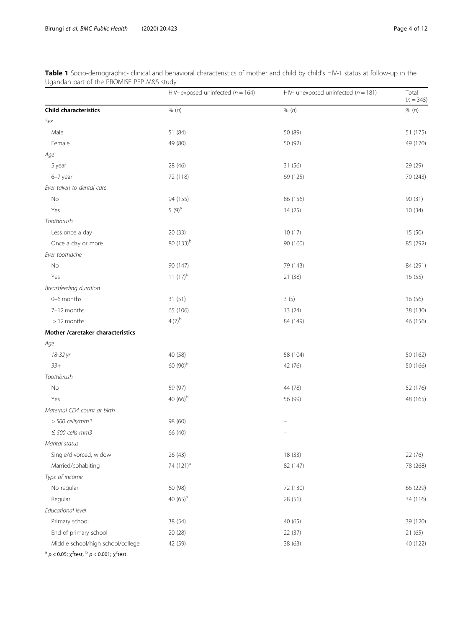|                                   | HIV- exposed uninfected ( $n = 164$ ) | HIV- unexposed uninfected ( $n = 181$ ) | Total<br>$(n = 345)$ |
|-----------------------------------|---------------------------------------|-----------------------------------------|----------------------|
| <b>Child characteristics</b>      | % (n)                                 | % (n)                                   | % (n)                |
| Sex                               |                                       |                                         |                      |
| Male                              | 51 (84)                               | 50 (89)                                 | 51 (175)             |
| Female                            | 49 (80)                               | 50 (92)                                 | 49 (170)             |
| Age                               |                                       |                                         |                      |
| 5 year                            | 28 (46)                               | 31 (56)                                 | 29 (29)              |
| 6-7 year                          | 72 (118)                              | 69 (125)                                | 70 (243)             |
| Ever taken to dental care         |                                       |                                         |                      |
| No                                | 94 (155)                              | 86 (156)                                | 90 (31)              |
| Yes                               | $5(9)^{a}$                            | 14(25)                                  | 10(34)               |
| Toothbrush                        |                                       |                                         |                      |
| Less once a day                   | 20 (33)                               | 10(17)                                  | 15 (50)              |
| Once a day or more                | 80 (133) <sup>b</sup>                 | 90 (160)                                | 85 (292)             |
| Ever toothache                    |                                       |                                         |                      |
| No                                | 90 (147)                              | 79 (143)                                | 84 (291)             |
| Yes                               | 11 $(17)^{b}$                         | 21 (38)                                 | 16 (55)              |
| Breastfeeding duration            |                                       |                                         |                      |
| 0-6 months                        | 31 (51)                               | 3(5)                                    | 16 (56)              |
| 7-12 months                       | 65 (106)                              | 13 (24)                                 | 38 (130)             |
| > 12 months                       | $4.(7)^{b}$                           | 84 (149)                                | 46 (156)             |
| Mother /caretaker characteristics |                                       |                                         |                      |
| Age                               |                                       |                                         |                      |
| 18-32 yr                          | 40 (58)                               | 58 (104)                                | 50 (162)             |
| $33+$                             | 60 $(90)^{b}$                         | 42 (76)                                 | 50 (166)             |
| Toothbrush                        |                                       |                                         |                      |
| No                                | 59 (97)                               | 44 (78)                                 | 52 (176)             |
| Yes                               | 40 $(66)^{b}$                         | 56 (99)                                 | 48 (165)             |
| Maternal CD4 count at birth       |                                       |                                         |                      |
| $>$ 500 cells/mm3                 | 98 (60)                               |                                         |                      |
| $\leq$ 500 cells mm3              | 66 (40)                               |                                         |                      |
| Marital status                    |                                       |                                         |                      |
| Single/divorced, widow            | 26 (43)                               | 18 (33)                                 | 22 (76)              |
| Married/cohabiting                | 74 (121) <sup>a</sup>                 | 82 (147)                                | 78 (268)             |
| Type of income                    |                                       |                                         |                      |
| No regular                        | 60 (98)                               | 72 (130)                                | 66 (229)             |
| Regular                           | 40 $(65)^a$                           | 28 (51)                                 | 34 (116)             |
| Educational level                 |                                       |                                         |                      |
| Primary school                    | 38 (54)                               | 40 (65)                                 | 39 (120)             |
| End of primary school             | 20 (28)                               | 22 (37)                                 | 21(65)               |
| Middle school/high school/college | 42 (59)                               | 38 (63)                                 | 40 (122)             |

<span id="page-3-0"></span>Table 1 Socio-demographic- clinical and behavioral characteristics of mother and child by child's HIV-1 status at follow-up in the Ugandan part of the PROMISE PEP M&S study

<sup>a</sup>  $p <$  0.05;  $\chi^2$ test,  $^{\rm b}$   $p$  < 0.001;  $\chi^2$ test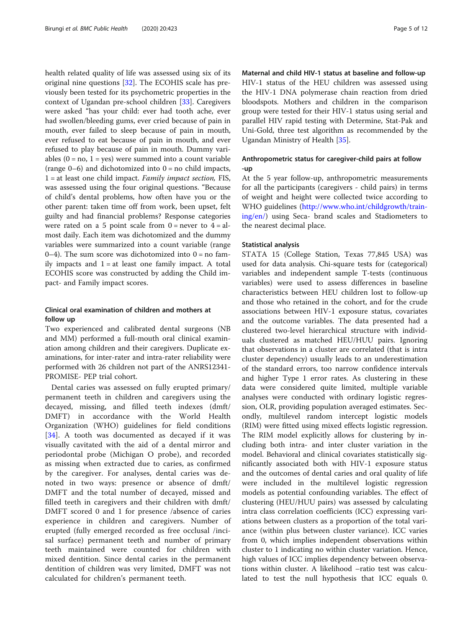health related quality of life was assessed using six of its original nine questions [\[32](#page-11-0)]. The ECOHIS scale has previously been tested for its psychometric properties in the context of Ugandan pre-school children [\[33](#page-11-0)]. Caregivers were asked "has your child: ever had tooth ache, ever had swollen/bleeding gums, ever cried because of pain in mouth, ever failed to sleep because of pain in mouth, ever refused to eat because of pain in mouth, and ever refused to play because of pain in mouth. Dummy variables  $(0 = no, 1 = yes)$  were summed into a count variable (range  $0-6$ ) and dichotomized into  $0 =$  no child impacts,  $1 =$  at least one child impact. *Family impact section*, FIS, was assessed using the four original questions. "Because of child's dental problems, how often have you or the other parent: taken time off from work, been upset, felt guilty and had financial problems? Response categories were rated on a 5 point scale from  $0 =$  never to  $4 =$  almost daily. Each item was dichotomized and the dummy variables were summarized into a count variable (range  $0-4$ ). The sum score was dichotomized into  $0 =$  no family impacts and  $1 = at$  least one family impact. A total ECOHIS score was constructed by adding the Child impact- and Family impact scores.

#### Clinical oral examination of children and mothers at follow up

Two experienced and calibrated dental surgeons (NB and MM) performed a full-mouth oral clinical examination among children and their caregivers. Duplicate examinations, for inter-rater and intra-rater reliability were performed with 26 children not part of the ANRS12341- PROMISE- PEP trial cohort.

Dental caries was assessed on fully erupted primary/ permanent teeth in children and caregivers using the decayed, missing, and filled teeth indexes (dmft/ DMFT) in accordance with the World Health Organization (WHO) guidelines for field conditions [[34\]](#page-11-0). A tooth was documented as decayed if it was visually cavitated with the aid of a dental mirror and periodontal probe (Michigan O probe), and recorded as missing when extracted due to caries, as confirmed by the caregiver. For analyses, dental caries was denoted in two ways: presence or absence of dmft/ DMFT and the total number of decayed, missed and filled teeth in caregivers and their children with dmft/ DMFT scored 0 and 1 for presence /absence of caries experience in children and caregivers. Number of erupted (fully emerged recorded as free occlusal /incisal surface) permanent teeth and number of primary teeth maintained were counted for children with mixed dentition. Since dental caries in the permanent dentition of children was very limited, DMFT was not calculated for children's permanent teeth.

Maternal and child HIV-1 status at baseline and follow-up HIV-1 status of the HEU children was assessed using the HIV-1 DNA polymerase chain reaction from dried bloodspots. Mothers and children in the comparison group were tested for their HIV-1 status using serial and parallel HIV rapid testing with Determine, Stat-Pak and Uni-Gold, three test algorithm as recommended by the Ugandan Ministry of Health [\[35](#page-11-0)].

#### Anthropometric status for caregiver-child pairs at follow -up

At the 5 year follow-up, anthropometric measurements for all the participants (caregivers - child pairs) in terms of weight and height were collected twice according to WHO guidelines [\(http://www.who.int/childgrowth/train](http://www.who.int/childgrowth/training/en/)[ing/en/](http://www.who.int/childgrowth/training/en/)) using Seca- brand scales and Stadiometers to the nearest decimal place.

#### Statistical analysis

STATA 15 (College Station, Texas 77,845 USA) was used for data analysis. Chi-square tests for (categorical) variables and independent sample T-tests (continuous variables) were used to assess differences in baseline characteristics between HEU children lost to follow-up and those who retained in the cohort, and for the crude associations between HIV-1 exposure status, covariates and the outcome variables. The data presented had a clustered two-level hierarchical structure with individuals clustered as matched HEU/HUU pairs. Ignoring that observations in a cluster are correlated (that is intra cluster dependency) usually leads to an underestimation of the standard errors, too narrow confidence intervals and higher Type 1 error rates. As clustering in these data were considered quite limited, multiple variable analyses were conducted with ordinary logistic regression, OLR, providing population averaged estimates. Secondly, multilevel random intercept logistic models (RIM) were fitted using mixed effects logistic regression. The RIM model explicitly allows for clustering by including both intra- and inter cluster variation in the model. Behavioral and clinical covariates statistically significantly associated both with HIV-1 exposure status and the outcomes of dental caries and oral quality of life were included in the multilevel logistic regression models as potential confounding variables. The effect of clustering (HEU/HUU pairs) was assessed by calculating intra class correlation coefficients (ICC) expressing variations between clusters as a proportion of the total variance (within plus between cluster variance). ICC varies from 0, which implies independent observations within cluster to 1 indicating no within cluster variation. Hence, high values of ICC implies dependency between observations within cluster. A likelihood –ratio test was calculated to test the null hypothesis that ICC equals 0.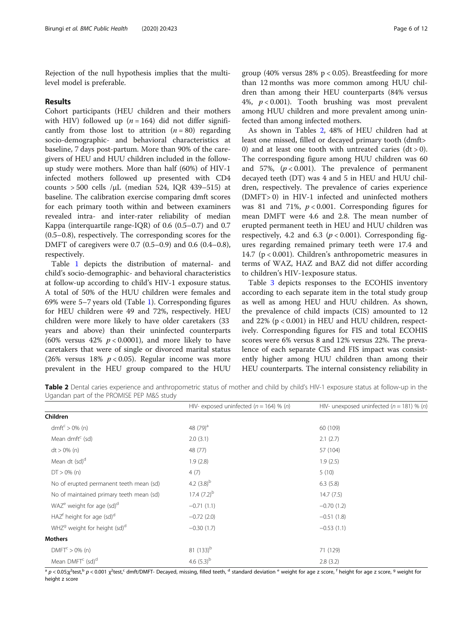Rejection of the null hypothesis implies that the multilevel model is preferable.

#### Results

Cohort participants (HEU children and their mothers with HIV) followed up  $(n = 164)$  did not differ significantly from those lost to attrition  $(n = 80)$  regarding socio-demographic- and behavioral characteristics at baseline, 7 days post-partum. More than 90% of the caregivers of HEU and HUU children included in the followup study were mothers. More than half (60%) of HIV-1 infected mothers followed up presented with CD4 counts  $> 500$  cells / $\mu$ L (median 524, IQR 439-515) at baseline. The calibration exercise comparing dmft scores for each primary tooth within and between examiners revealed intra- and inter-rater reliability of median Kappa (interquartile range-IQR) of 0.6 (0.5–0.7) and 0.7 (0.5–0.8), respectively. The corresponding scores for the DMFT of caregivers were 0.7 (0.5–0.9) and 0.6 (0.4–0.8), respectively.

Table [1](#page-3-0) depicts the distribution of maternal- and child's socio-demographic- and behavioral characteristics at follow-up according to child's HIV-1 exposure status. A total of 50% of the HUU children were females and 69% were 5–7 years old (Table [1\)](#page-3-0). Corresponding figures for HEU children were 49 and 72%, respectively. HEU children were more likely to have older caretakers (33 years and above) than their uninfected counterparts (60% versus 42%  $p < 0.0001$ ), and more likely to have caretakers that were of single or divorced marital status (26% versus 18%  $p < 0.05$ ). Regular income was more prevalent in the HEU group compared to the HUU group (40% versus  $28\%$  p < 0.05). Breastfeeding for more than 12 months was more common among HUU children than among their HEU counterparts (84% versus 4%,  $p < 0.001$ ). Tooth brushing was most prevalent among HUU children and more prevalent among uninfected than among infected mothers.

As shown in Tables 2, 48% of HEU children had at least one missed, filled or decayed primary tooth (dmft> 0) and at least one tooth with untreated caries  $(dt > 0)$ . The corresponding figure among HUU children was 60 and 57%,  $(p < 0.001)$ . The prevalence of permanent decayed teeth (DT) was 4 and 5 in HEU and HUU children, respectively. The prevalence of caries experience (DMFT> 0) in HIV-1 infected and uninfected mothers was 81 and 71%,  $p < 0.001$ . Corresponding figures for mean DMFT were 4.6 and 2.8. The mean number of erupted permanent teeth in HEU and HUU children was respectively, 4.2 and 6.3 ( $p < 0.001$ ). Corresponding figures regarding remained primary teeth were 17.4 and 14.7 (p < 0.001). Children's anthropometric measures in terms of WAZ, HAZ and BAZ did not differ according to children's HIV-1exposure status.

Table [3](#page-6-0) depicts responses to the ECOHIS inventory according to each separate item in the total study group as well as among HEU and HUU children. As shown, the prevalence of child impacts (CIS) amounted to 12 and 22% (p < 0.001) in HEU and HUU children, respectively. Corresponding figures for FIS and total ECOHIS scores were 6% versus 8 and 12% versus 22%. The prevalence of each separate CIS and FIS impact was consistently higher among HUU children than among their HEU counterparts. The internal consistency reliability in

Table 2 Dental caries experience and anthropometric status of mother and child by child's HIV-1 exposure status at follow-up in the Ugandan part of the PROMISE PEP M&S study

|                                                      | HIV- exposed uninfected ( $n = 164$ ) % (n) | HIV- unexposed uninfected ( $n = 181$ ) % (n) |
|------------------------------------------------------|---------------------------------------------|-----------------------------------------------|
| Children                                             |                                             |                                               |
| dmft <sup>c</sup> > 0% (n)                           | 48 $(79)^a$                                 | 60 (109)                                      |
| Mean dmft $\epsilon$ (sd)                            | 2.0(3.1)                                    | 2.1(2.7)                                      |
| $dt > 0\%$ (n)                                       | 48 (77)                                     | 57 (104)                                      |
| Mean dt (sd) <sup>d</sup>                            | 1.9(2.8)                                    | 1.9(2.5)                                      |
| $DT > 0\%$ (n)                                       | 4(7)                                        | 5(10)                                         |
| No of erupted permanent teeth mean (sd)              | 4.2 $(3.8)^{b}$                             | 6.3(5.8)                                      |
| No of maintained primary teeth mean (sd)             | 17.4 $(7.2)^{b}$                            | 14.7(7.5)                                     |
| WAZ <sup>e</sup> weight for age (sd) <sup>d</sup>    | $-0.71(1.1)$                                | $-0.70(1.2)$                                  |
| HAZ <sup>f</sup> height for age (sd) <sup>d</sup>    | $-0.72(2.0)$                                | $-0.51(1.8)$                                  |
| WHZ <sup>9</sup> weight for height (sd) <sup>d</sup> | $-0.30(1.7)$                                | $-0.53(1.1)$                                  |
| Mothers                                              |                                             |                                               |
| DMFT <sup>c</sup> > 0% (n)                           | 81 $(133)^{b}$                              | 71 (129)                                      |
| Mean DMFT <sup>c</sup> (sd) <sup>d</sup>             | 4.6 $(5.3)^{b}$                             | 2.8(3.2)                                      |

 $^{\rm a}$  p < 0.05; $\chi^2$ test, $^{\rm c}$  p < 0.001  $\chi^2$ test, $^{\rm c}$  dmft/DMFT- Decayed, missing, filled teeth,  $^{\rm d}$  standard deviation  $^{\rm e}$  weight for age z score,  $^{\rm f}$  height for age z score,  $^{\rm g}$  weight for height z score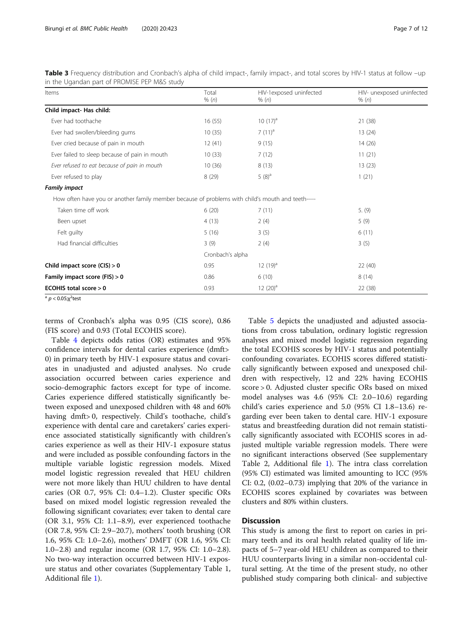| Items                                                                                             | Total<br>% (n)   | HIV-1exposed uninfected<br>% (n) | HIV- unexposed uninfected<br>% (n) |
|---------------------------------------------------------------------------------------------------|------------------|----------------------------------|------------------------------------|
| Child impact- Has child:                                                                          |                  |                                  |                                    |
| Ever had toothache                                                                                | 16(55)           | $10(17)^a$                       | 21(38)                             |
| Ever had swollen/bleeding gums                                                                    | 10(35)           | $7(11)^{a}$                      | 13(24)                             |
| Ever cried because of pain in mouth                                                               | 12(41)           | 9(15)                            | 14(26)                             |
| Ever failed to sleep because of pain in mouth                                                     | 10(33)           | 7(12)                            | 11(21)                             |
| Ever refused to eat because of pain in mouth                                                      | 10(36)           | 8(13)                            | 13(23)                             |
| Ever refused to play                                                                              | 8(29)            | $5(8)^a$                         | 1(21)                              |
| <b>Family impact</b>                                                                              |                  |                                  |                                    |
| How often have you or another family member because of problems with child's mouth and teeth----- |                  |                                  |                                    |
| Taken time off work                                                                               | 6(20)            | 7(11)                            | 5. (9)                             |
| Been upset                                                                                        | 4(13)            | 2(4)                             | 5(9)                               |
| Felt guilty                                                                                       | 5(16)            | 3(5)                             | 6(11)                              |
| Had financial difficulties                                                                        | 3(9)             | 2(4)                             | 3(5)                               |
|                                                                                                   | Cronbach's alpha |                                  |                                    |
| Child impact score $(CIS) > 0$                                                                    | 0.95             | $12(19)^a$                       | 22(40)                             |
| Family impact score (FIS) > 0                                                                     | 0.86             | 6(10)                            | 8(14)                              |
| ECOHIS total score > 0                                                                            | 0.93             | $12(20)^a$                       | 22 (38)                            |

<span id="page-6-0"></span>Table 3 Frequency distribution and Cronbach's alpha of child impact-, family impact-, and total scores by HIV-1 status at follow –up in the Ugandan part of PROMISE PEP M&S study

<sup>a</sup>  $p <$  0.05;χ $^2$ test

terms of Cronbach's alpha was 0.95 (CIS score), 0.86 (FIS score) and 0.93 (Total ECOHIS score).

Table [4](#page-7-0) depicts odds ratios (OR) estimates and 95% confidence intervals for dental caries experience (dmft> 0) in primary teeth by HIV-1 exposure status and covariates in unadjusted and adjusted analyses. No crude association occurred between caries experience and socio-demographic factors except for type of income. Caries experience differed statistically significantly between exposed and unexposed children with 48 and 60% having dmft> 0, respectively. Child's toothache, child's experience with dental care and caretakers' caries experience associated statistically significantly with children's caries experience as well as their HIV-1 exposure status and were included as possible confounding factors in the multiple variable logistic regression models. Mixed model logistic regression revealed that HEU children were not more likely than HUU children to have dental caries (OR 0.7, 95% CI: 0.4–1.2). Cluster specific ORs based on mixed model logistic regression revealed the following significant covariates; ever taken to dental care (OR 3.1, 95% CI: 1.1–8.9), ever experienced toothache (OR 7.8, 95% CI: 2.9–20.7), mothers' tooth brushing (OR 1.6, 95% CI: 1.0–2.6), mothers' DMFT (OR 1.6, 95% CI: 1.0–2.8) and regular income (OR 1.7, 95% CI: 1.0–2.8). No two-way interaction occurred between HIV-1 exposure status and other covariates (Supplementary Table 1, Additional file [1](#page-10-0)).

Table [5](#page-8-0) depicts the unadjusted and adjusted associations from cross tabulation, ordinary logistic regression analyses and mixed model logistic regression regarding the total ECOHIS scores by HIV-1 status and potentially confounding covariates. ECOHIS scores differed statistically significantly between exposed and unexposed children with respectively, 12 and 22% having ECOHIS score > 0. Adjusted cluster specific ORs based on mixed model analyses was 4.6 (95% CI: 2.0–10.6) regarding child's caries experience and 5.0 (95% CI 1.8–13.6) regarding ever been taken to dental care. HIV-1 exposure status and breastfeeding duration did not remain statistically significantly associated with ECOHIS scores in adjusted multiple variable regression models. There were no significant interactions observed (See supplementary Table 2, Additional file [1\)](#page-10-0). The intra class correlation (95% CI) estimated was limited amounting to ICC (95% CI: 0.2, (0.02–0.73) implying that 20% of the variance in ECOHIS scores explained by covariates was between clusters and 80% within clusters.

#### **Discussion**

This study is among the first to report on caries in primary teeth and its oral health related quality of life impacts of 5–7 year-old HEU children as compared to their HUU counterparts living in a similar non-occidental cultural setting. At the time of the present study, no other published study comparing both clinical- and subjective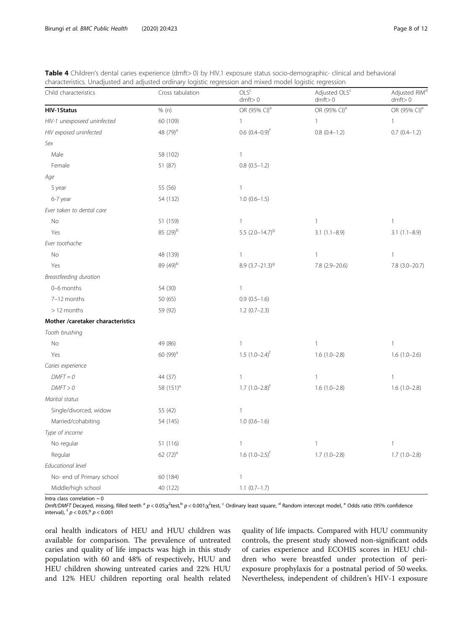| Child characteristics             | Cross tabulation      | OLS <sup>c</sup><br>dmft > 0    | Adjusted OLS <sup>c</sup><br>dmft > 0 | Adjusted RIM <sup>d</sup><br>dmft > 0 |
|-----------------------------------|-----------------------|---------------------------------|---------------------------------------|---------------------------------------|
| <b>HIV-1Status</b>                | % (n)                 | OR (95% CI) <sup>e</sup>        | OR (95% CI) <sup>e</sup>              | OR (95% CI) <sup>e</sup>              |
| HIV-1 unexposeed uninfected       | 60 (109)              | $\mathbf{1}$                    | $\mathbf{1}$                          | $\mathbf{1}$                          |
| HIV exposed uninfected            | 48 (79) <sup>a</sup>  | $0.6$ $(0.4-0.9)$ <sup>f</sup>  | $0.8(0.4-1.2)$                        | $0.7(0.4-1.2)$                        |
| Sex                               |                       |                                 |                                       |                                       |
| Male                              | 58 (102)              | $\mathbf{1}$                    |                                       |                                       |
| Female                            | 51 (87)               | $0.8(0.5-1.2)$                  |                                       |                                       |
| Age                               |                       |                                 |                                       |                                       |
| 5 year                            | 55 (56)               | $\mathbf{1}$                    |                                       |                                       |
| 6-7 year                          | 54 (132)              | $1.0(0.6-1.5)$                  |                                       |                                       |
| Ever taken to dental care         |                       |                                 |                                       |                                       |
| <b>No</b>                         | 51 (159)              | $\mathbf{1}$                    | $\mathbf{1}$                          | $\mathbf{1}$                          |
| Yes                               | 85 (29) <sup>b</sup>  | 5.5 $(2.0 - 14.7)$ <sup>9</sup> | $3.1(1.1 - 8.9)$                      | $3.1(1.1 - 8.9)$                      |
| Ever toothache                    |                       |                                 |                                       |                                       |
| No                                | 48 (139)              | $\mathbf{1}$                    | $\mathbf{1}$                          | $\mathbf{1}$                          |
| Yes                               | 89 (49) <sup>b</sup>  | 8.9 $(3.7 - 21.3)^9$            | 7.8 (2.9-20.6)                        | 7.8 (3.0-20.7)                        |
| Breastfeeding duration            |                       |                                 |                                       |                                       |
| 0-6 months                        | 54 (30)               | $\mathbf{1}$                    |                                       |                                       |
| 7-12 months                       | 50 (65)               | $0.9(0.5-1.6)$                  |                                       |                                       |
| > 12 months                       | 59 (92)               | $1.2(0.7-2.3)$                  |                                       |                                       |
| Mother /caretaker characteristics |                       |                                 |                                       |                                       |
| Tooth brushing                    |                       |                                 |                                       |                                       |
| No                                | 49 (86)               | $\mathbf{1}$                    | $\mathbf{1}$                          | 1                                     |
| Yes                               | 60 (99) <sup>a</sup>  | $1.5(1.0-2.4)^f$                | $1.6(1.0-2.8)$                        | $1.6(1.0-2.6)$                        |
| Caries experience                 |                       |                                 |                                       |                                       |
| $DMFT = 0$                        | 44 (37)               | $\mathbf{1}$                    | 1                                     | 1                                     |
| DMFT > 0                          | 58 (151) <sup>a</sup> | $1.7 (1.0 - 2.8)^f$             | $1.6(1.0-2.8)$                        | $1.6(1.0-2.8)$                        |
| Marital status                    |                       |                                 |                                       |                                       |
| Single/divorced, widow            | 55 (42)               | $\mathbf{1}$                    |                                       |                                       |
| Married/cohabiting                | 54 (145)              | $1.0 (0.6 - 1.6)$               |                                       |                                       |
| Type of income                    |                       |                                 |                                       |                                       |
| No regular                        | 51 (116)              | $\mathbf{1}$                    | $\mathbf{1}$                          | $\mathbf{1}$                          |
| Regular                           | 62 $(72)^a$           | $1.6 (1.0 - 2.5)^f$             | $1.7(1.0-2.8)$                        | $1.7(1.0-2.8)$                        |
| Educational level                 |                       |                                 |                                       |                                       |
| No- end of Primary school         | 60 (184)              | $\mathbf{1}$                    |                                       |                                       |
| Middle/high school                | 40 (122)              | $1.1 (0.7 - 1.7)$               |                                       |                                       |

<span id="page-7-0"></span>Table 4 Children's dental caries experience (dmft> 0) by HIV.1 exposure status socio-demographic- clinical and behavioral characteristics. Unadjusted and adjusted ordinary logistic regression and mixed model logistic regression

Intra class correlation  $\sim$  0

Dmft/DMFT Decayed, missing, filled teeth <sup>a</sup>  $p < 0.05$ ;x<sup>2</sup>test,<sup>b</sup>  $p < 0.001$ ;x<sup>2</sup>test,<sup>c</sup> Ordinary least square, <sup>d</sup> Random intercept model, <sup>e</sup> Odds ratio (95% confidence interval),  $^{f} p < 0.05$ ,  $^{g} p < 0.001$ 

oral health indicators of HEU and HUU children was available for comparison. The prevalence of untreated caries and quality of life impacts was high in this study population with 60 and 48% of respectively, HUU and HEU children showing untreated caries and 22% HUU and 12% HEU children reporting oral health related

quality of life impacts. Compared with HUU community controls, the present study showed non-significant odds of caries experience and ECOHIS scores in HEU children who were breastfed under protection of periexposure prophylaxis for a postnatal period of 50 weeks. Nevertheless, independent of children's HIV-1 exposure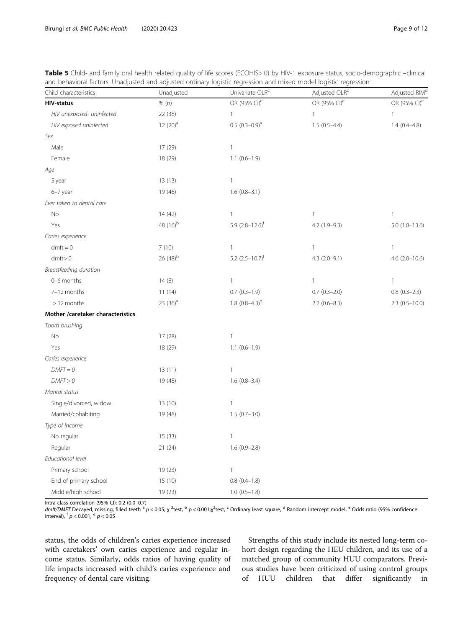| Child characteristics             | Unadjusted           | Univariate OLR <sup>c</sup>     | Adjusted OLR <sup>c</sup> | Adjusted RIM <sup>d</sup> |
|-----------------------------------|----------------------|---------------------------------|---------------------------|---------------------------|
| <b>HIV-status</b>                 | % (n)                | OR (95% CI) <sup>e</sup>        | OR (95% CI) <sup>e</sup>  | OR (95% CI) <sup>e</sup>  |
| HIV unexposed- uninfected         | 22 (38)              | $\mathbf{1}$                    | $\mathbf{1}$              | $\mathbf{1}$              |
| HIV exposed uninfected            | $12(20)^a$           | $0.5$ $(0.3-0.9)$ <sup>a</sup>  | $1.5(0.5-4.4)$            | $1.4(0.4 - 4.8)$          |
| Sex                               |                      |                                 |                           |                           |
| Male                              | 17 (29)              | $\mathbf{1}$                    |                           |                           |
| Female                            | 18 (29)              | $1.1 (0.6 - 1.9)$               |                           |                           |
| Age                               |                      |                                 |                           |                           |
| 5 year                            | 13(13)               | $\mathbf{1}$                    |                           |                           |
| 6-7 year                          | 19 (46)              | $1.6(0.8-3.1)$                  |                           |                           |
| Ever taken to dental care         |                      |                                 |                           |                           |
| No                                | 14(42)               | $\mathbf{1}$                    | $\mathbf{1}$              | $\mathbf{1}$              |
| Yes                               | 48 (16) <sup>b</sup> | 5.9 $(2.8 - 12.6)$ <sup>f</sup> | $4.2(1.9-9.3)$            | $5.0(1.8-13.6)$           |
| Caries experience                 |                      |                                 |                           |                           |
| $dmft = 0$                        | 7(10)                | $\mathbf{1}$                    | 1                         | $\mathbf{1}$              |
| dmft > 0                          | 26 $(48)^{b}$        | 5.2 $(2.5 - 10.7)^f$            | $4.3$ $(2.0-9.1)$         | $4.6$ (2.0-10.6)          |
| Breastfeeding duration            |                      |                                 |                           |                           |
| 0-6 months                        | 14(8)                | $\mathbf{1}$                    | $\mathbf{1}$              | $\mathbf{1}$              |
| 7-12 months                       | 11(14)               | $0.7$ $(0.3-1.9)$               | $0.7(0.3-2.0)$            | $0.8$ $(0.3-2.3)$         |
| > 12 months                       | 23 $(36)^a$          | $1.8$ $(0.8-4.3)$ <sup>9</sup>  | $2.2(0.6-8.3)$            | $2.3(0.5-10.0)$           |
| Mother /caretaker characteristics |                      |                                 |                           |                           |
| Tooth brushing                    |                      |                                 |                           |                           |
| No                                | 17(28)               | $\, 1 \,$                       |                           |                           |
| Yes                               | 18 (29)              | $1.1(0.6-1.9)$                  |                           |                           |
| Caries experience                 |                      |                                 |                           |                           |
| $DMFT = 0$                        | 13(11)               | $\ensuremath{\mathsf{1}}$       |                           |                           |
| DMFT > 0                          | 19 (48)              | $1.6(0.8-3.4)$                  |                           |                           |
| Marital status                    |                      |                                 |                           |                           |
| Single/divorced, widow            | 13(10)               | $\mathbf{1}$                    |                           |                           |
| Married/cohabiting                | 19 (48)              | $1.5(0.7-3.0)$                  |                           |                           |
| Type of income                    |                      |                                 |                           |                           |
| No regular                        | 15(33)               | $\mathbf{1}$                    |                           |                           |
| Regular                           | 21(24)               | $1.6(0.9-2.8)$                  |                           |                           |
| Educational level                 |                      |                                 |                           |                           |
| Primary school                    | 19 (23)              | $\mathbf{1}$                    |                           |                           |
| End of primary school             | 15 (10)              | $0.8$ $(0.4-1.8)$               |                           |                           |
| Middle/high school                | 19 (23)              | $1.0 (0.5 - 1.8)$               |                           |                           |

<span id="page-8-0"></span>

| Table 5 Child- and family oral health related quality of life scores (ECOHIS>0) by HIV-1 exposure status, socio-demographic -clinical |  |
|---------------------------------------------------------------------------------------------------------------------------------------|--|
| and behavioral factors. Unadjusted and adjusted ordinary logistic regression and mixed model logistic regression                      |  |

Intra class correlation (95% CI); 0.2 (0.0–0.7)

dmft/DMFT Decayed, missing, filled teeth <sup>a</sup> p < 0.05; χ <sup>2</sup>test, <sup>b</sup> p < 0.001;χ<sup>2</sup>test, <sup>c</sup> Ordinary least square, <sup>d</sup> Random intercept model, <sup>e</sup> Odds ratio (95% confidence interval),  $^{f}p < 0.001$ ,  $^{g}p < 0.05$ 

status, the odds of children's caries experience increased with caretakers' own caries experience and regular income status. Similarly, odds ratios of having quality of life impacts increased with child's caries experience and frequency of dental care visiting.

Strengths of this study include its nested long-term cohort design regarding the HEU children, and its use of a matched group of community HUU comparators. Previous studies have been criticized of using control groups of HUU children that differ significantly in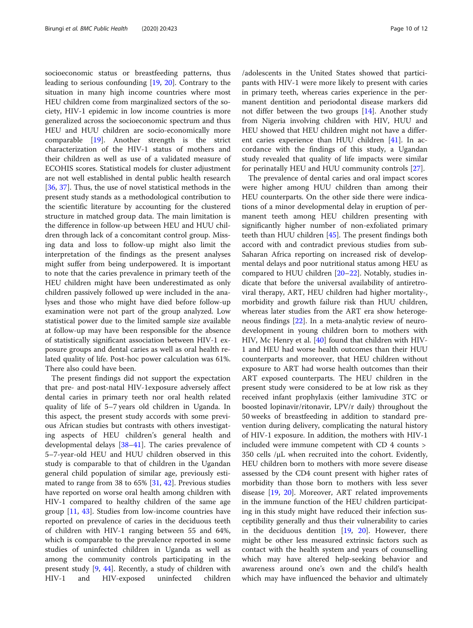socioeconomic status or breastfeeding patterns, thus leading to serious confounding [[19](#page-11-0), [20\]](#page-11-0). Contrary to the situation in many high income countries where most HEU children come from marginalized sectors of the society, HIV-1 epidemic in low income countries is more generalized across the socioeconomic spectrum and thus HEU and HUU children are socio-economically more comparable [\[19](#page-11-0)]. Another strength is the strict characterization of the HIV-1 status of mothers and their children as well as use of a validated measure of ECOHIS scores. Statistical models for cluster adjustment are not well established in dental public health research [[36,](#page-11-0) [37\]](#page-11-0). Thus, the use of novel statistical methods in the present study stands as a methodological contribution to the scientific literature by accounting for the clustered structure in matched group data. The main limitation is the difference in follow-up between HEU and HUU children through lack of a concomitant control group. Missing data and loss to follow-up might also limit the interpretation of the findings as the present analyses might suffer from being underpowered. It is important to note that the caries prevalence in primary teeth of the HEU children might have been underestimated as only children passively followed up were included in the analyses and those who might have died before follow-up examination were not part of the group analyzed. Low statistical power due to the limited sample size available at follow-up may have been responsible for the absence of statistically significant association between HIV-1 exposure groups and dental caries as well as oral health related quality of life. Post-hoc power calculation was 61%. There also could have been.

The present findings did not support the expectation that pre- and post-natal HIV-1exposure adversely affect dental caries in primary teeth nor oral health related quality of life of 5–7 years old children in Uganda. In this aspect, the present study accords with some previous African studies but contrasts with others investigating aspects of HEU children's general health and developmental delays [\[38](#page-11-0)–[41\]](#page-11-0). The caries prevalence of 5–7-year-old HEU and HUU children observed in this study is comparable to that of children in the Ugandan general child population of similar age, previously estimated to range from 38 to 65% [\[31](#page-11-0), [42](#page-11-0)]. Previous studies have reported on worse oral health among children with HIV-1 compared to healthy children of the same age group [[11](#page-11-0), [43\]](#page-11-0). Studies from low-income countries have reported on prevalence of caries in the deciduous teeth of children with HIV-1 ranging between 55 and 64%, which is comparable to the prevalence reported in some studies of uninfected children in Uganda as well as among the community controls participating in the present study [\[9](#page-11-0), [44\]](#page-11-0). Recently, a study of children with HIV-1 and HIV-exposed uninfected children

/adolescents in the United States showed that participants with HIV-1 were more likely to present with caries in primary teeth, whereas caries experience in the permanent dentition and periodontal disease markers did not differ between the two groups [[14\]](#page-11-0). Another study from Nigeria involving children with HIV, HUU and HEU showed that HEU children might not have a different caries experience than HUU children [\[41\]](#page-11-0). In accordance with the findings of this study, a Ugandan study revealed that quality of life impacts were similar for perinatally HEU and HUU community controls [[27\]](#page-11-0).

The prevalence of dental caries and oral impact scores were higher among HUU children than among their HEU counterparts. On the other side there were indications of a minor developmental delay in eruption of permanent teeth among HEU children presenting with significantly higher number of non-exfoliated primary teeth than HUU children [[45\]](#page-11-0). The present findings both accord with and contradict previous studies from sub-Saharan Africa reporting on increased risk of developmental delays and poor nutritional status among HEU as compared to HUU children [\[20](#page-11-0)–[22\]](#page-11-0). Notably, studies indicate that before the universal availability of antiretroviral therapy, ART, HEU children had higher mortality-, morbidity and growth failure risk than HUU children, whereas later studies from the ART era show heterogeneous findings [[22\]](#page-11-0). In a meta-analytic review of neurodevelopment in young children born to mothers with HIV, Mc Henry et al. [\[40\]](#page-11-0) found that children with HIV-1 and HEU had worse health outcomes than their HUU counterparts and moreover, that HEU children without exposure to ART had worse health outcomes than their ART exposed counterparts. The HEU children in the present study were considered to be at low risk as they received infant prophylaxis (either lamivudine 3TC or boosted lopinavir/ritonavir, LPV/r daily) throughout the 50 weeks of breastfeeding in addition to standard prevention during delivery, complicating the natural history of HIV-1 exposure. In addition, the mothers with HIV-1 included were immune competent with CD 4 counts > 350 cells /μL when recruited into the cohort. Evidently, HEU children born to mothers with more severe disease assessed by the CD4 count present with higher rates of morbidity than those born to mothers with less sever disease [[19,](#page-11-0) [20](#page-11-0)]. Moreover, ART related improvements in the immune function of the HEU children participating in this study might have reduced their infection susceptibility generally and thus their vulnerability to caries in the deciduous dentition [[19](#page-11-0), [20\]](#page-11-0). However, there might be other less measured extrinsic factors such as contact with the health system and years of counselling which may have altered help-seeking behavior and awareness around one's own and the child's health which may have influenced the behavior and ultimately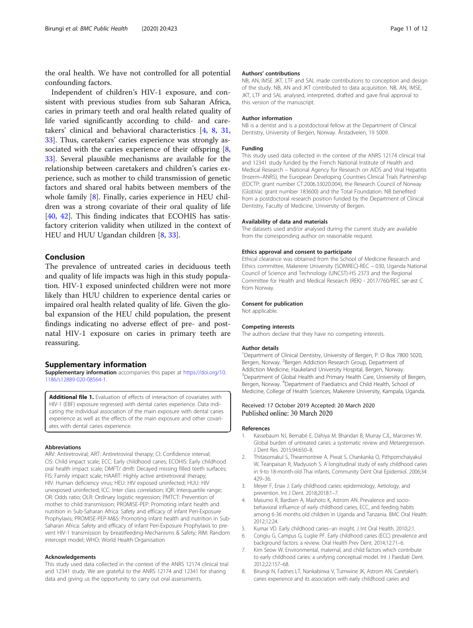<span id="page-10-0"></span>the oral health. We have not controlled for all potential confounding factors.

Independent of children's HIV-1 exposure, and consistent with previous studies from sub Saharan Africa, caries in primary teeth and oral health related quality of life varied significantly according to child- and caretakers' clinical and behavioral characteristics [4, 8, [31](#page-11-0), [33\]](#page-11-0). Thus, caretakers' caries experience was strongly associated with the caries experience of their offspring  $[8, 8]$ [33\]](#page-11-0). Several plausible mechanisms are available for the relationship between caretakers and children's caries experience, such as mother to child transmission of genetic factors and shared oral habits between members of the whole family [8]. Finally, caries experience in HEU children was a strong covariate of their oral quality of life [[40,](#page-11-0) [42\]](#page-11-0). This finding indicates that ECOHIS has satisfactory criterion validity when utilized in the context of HEU and HUU Ugandan children [8, [33\]](#page-11-0).

#### Conclusion

The prevalence of untreated caries in deciduous teeth and quality of life impacts was high in this study population. HIV-1 exposed uninfected children were not more likely than HUU children to experience dental caries or impaired oral health related quality of life. Given the global expansion of the HEU child population, the present findings indicating no adverse effect of pre- and postnatal HIV-1 exposure on caries in primary teeth are reassuring.

#### Supplementary information

Supplementary information accompanies this paper at [https://doi.org/10.](https://doi.org/10.1186/s12889-020-08564-1) [1186/s12889-020-08564-1](https://doi.org/10.1186/s12889-020-08564-1).

Additional file 1. Evaluation of effects of interaction of covariates with HIV-1 (EBF) exposure regressed with dental caries experience. Data indicating the individual association of the main exposure with dental caries experience as well as the effects of the main exposure and other covariates with dental caries experience.

#### Abbreviations

ARV: Antiretroviral; ART: Antiretroviral therapy; CI: Confidence interval; CIS: Child impact scale; ECC: Early childhood caries; ECOHIS: Early childhood oral health impact scale; DMFT/ dmft: Decayed missing filled teeth surfaces; FIS: Family impact scale; HAART: Highly active antiretroviral therapy; HIV: Human deficiency virus; HEU: HIV exposed uninfected; HUU: HIV unexposed uninfected; ICC: Inter class correlation; IQR: Interquartile range; OR: Odds ratio; OLR: Ordinary logistic regression; PMTCT: Prevention of mother to child transmission; PROMISE-PEP: Promoting infant health and nutrition in Sub-Saharan Africa: Safety and efficacy of infant Peri-Exposure Prophylaxis; PROMISE-PEP-M&S: Promoting infant health and nutrition in Sub-Saharan Africa: Safety and efficacy of infant Peri-Exposure Prophylaxis to prevent HIV-1 transmission by breastfeeding-Mechanisms & Safety; RIM: Random intercept model; WHO: World Health Organisation

#### Acknowledgements

This study used data collected in the context of the ANRS 12174 clinical trial and 12341 study. We are grateful to the ANRS 12174 and 12341 for sharing data and giving us the opportunity to carry out oral assessments.

#### Authors' contributions

NB, AN, IMSE JKT, LTF and SAL made contributions to conception and design of the study. NB, AN and JKT contributed to data acquisition. NB, AN, IMSE, JKT, LTF and SAL analysed, interpreted, drafted and gave final approval to this version of the manuscript.

#### Author information

NB is a dentist and is a postdoctoral fellow at the Department of Clinical Dentistry, University of Bergen, Norway. Årstadveien, 19 5009.

#### Funding

This study used data collected in the context of the ANRS 12174 clinical trial and 12341 study funded by the French National Institute of Health and Medical Research – National Agency for Research on AIDS and Viral Hepatitis (Inserm–ANRS), the European Developing Countries Clinical Trials Partnership (EDCTP; grant number CT.2006.33020.004), the Research Council of Norway (GlobVac grant number 183600) and the Total Foundation. NB benefited from a postdoctoral research position funded by the Department of Clinical Dentistry, Faculty of Medicine, University of Bergen.

#### Availability of data and materials

The datasets used and/or analysed during the current study are available from the corresponding author on reasonable request.

#### Ethics approval and consent to participate

Ethical clearance was obtained from the School of Medicine Research and Ethics committee, Makerere University (SOMREC)-REC − 030, Uganda National Council of Science and Technology (UNCST)-HS 2373 and the Regional Committee for Health and Medical Research (REK) - 2017/760/REC sør-øst C from Norway.

#### Consent for publication

Not applicable.

#### Competing interests

The authors declare that they have no competing interests.

#### Author details

<sup>1</sup>Department of Clinical Dentistry, University of Bergen, P. O Box 7800 5020 Bergen, Norway. <sup>2</sup> Bergen Addiction Research Group, Department of Addiction Medicine, Haukeland University Hospital, Bergen, Norway. <sup>3</sup>Department of Global Health and Primary Health Care, University of Bergen Bergen, Norway. <sup>4</sup>Department of Paediatrics and Child Health, School of Medicine, College of Health Sciences, Makerere University, Kampala, Uganda.

#### Received: 17 October 2019 Accepted: 20 March 2020 Published online: 30 March 2020

#### References

- 1. Kassebaum NJ, Bernabé E, Dahiya M, Bhandari B, Murray CJL, Marcenes W. Global burden of untreated caries: a systematic review and Metaregression. J Dent Res. 2015;94:650–8.
- 2. Thitasomakul S, Thearmontree A, Piwat S, Chankanka O, Pithpornchaiyakul W, Teanpaisan R, Madyusoh S. A longitudinal study of early childhood caries in 9-to 18-month-old Thai infants. Community Dent Oral Epidemiol. 2006;34: 429–36.
- 3. Meyer F, Enax J. Early childhood caries: epidemiology, Aetiology, and prevention. Int J Dent. 2018;2018:1–7.
- 4. Masumo R, Bardsen A, Mashoto K, Astrom AN. Prevalence and sociobehavioral influence of early childhood caries, ECC, and feeding habits among 6-36 months old children in Uganda and Tanzania. BMC Oral Health. 2012;12:24.
- 5. Kumar VD. Early childhood caries--an insight. J Int Oral Health. 2010;2:1.
- 6. Congiu G, Campus G, Luglie PF. Early childhood caries (ECC) prevalence and background factors: a review. Oral Health Prev Dent. 2014;12:71–6.
- 7. Kim Seow W. Environmental, maternal, and child factors which contribute to early childhood caries: a unifying conceptual model. Int J Paediatr Dent. 2012;22:157–68.
- 8. Birungi N, Fadnes LT, Nankabirwa V, Tumwine JK, Astrom AN. Caretaker's caries experience and its association with early childhood caries and